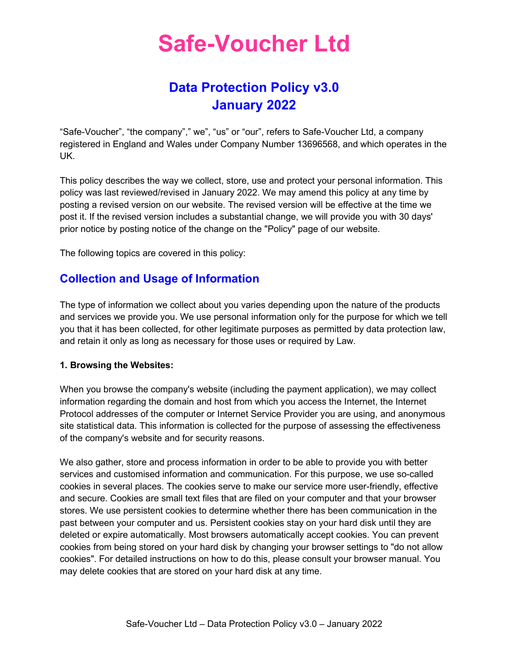## Data Protection Policy v3.0 January 2022

"Safe-Voucher", "the company"," we", "us" or "our", refers to Safe-Voucher Ltd, a company registered in England and Wales under Company Number 13696568, and which operates in the UK.

This policy describes the way we collect, store, use and protect your personal information. This policy was last reviewed/revised in January 2022. We may amend this policy at any time by posting a revised version on our website. The revised version will be effective at the time we post it. If the revised version includes a substantial change, we will provide you with 30 days' prior notice by posting notice of the change on the "Policy" page of our website.

The following topics are covered in this policy:

## Collection and Usage of Information

The type of information we collect about you varies depending upon the nature of the products and services we provide you. We use personal information only for the purpose for which we tell you that it has been collected, for other legitimate purposes as permitted by data protection law, and retain it only as long as necessary for those uses or required by Law.

#### 1. Browsing the Websites:

When you browse the company's website (including the payment application), we may collect information regarding the domain and host from which you access the Internet, the Internet Protocol addresses of the computer or Internet Service Provider you are using, and anonymous site statistical data. This information is collected for the purpose of assessing the effectiveness of the company's website and for security reasons.

We also gather, store and process information in order to be able to provide you with better services and customised information and communication. For this purpose, we use so-called cookies in several places. The cookies serve to make our service more user-friendly, effective and secure. Cookies are small text files that are filed on your computer and that your browser stores. We use persistent cookies to determine whether there has been communication in the past between your computer and us. Persistent cookies stay on your hard disk until they are deleted or expire automatically. Most browsers automatically accept cookies. You can prevent cookies from being stored on your hard disk by changing your browser settings to "do not allow cookies". For detailed instructions on how to do this, please consult your browser manual. You may delete cookies that are stored on your hard disk at any time.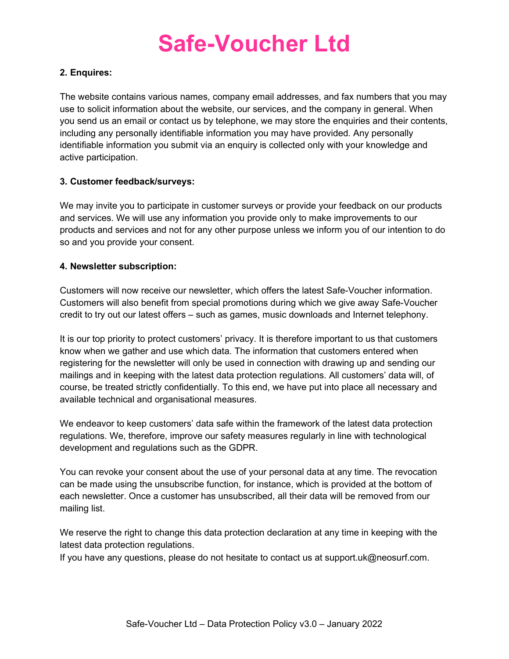#### 2. Enquires:

The website contains various names, company email addresses, and fax numbers that you may use to solicit information about the website, our services, and the company in general. When you send us an email or contact us by telephone, we may store the enquiries and their contents, including any personally identifiable information you may have provided. Any personally identifiable information you submit via an enquiry is collected only with your knowledge and active participation.

#### 3. Customer feedback/surveys:

We may invite you to participate in customer surveys or provide your feedback on our products and services. We will use any information you provide only to make improvements to our products and services and not for any other purpose unless we inform you of our intention to do so and you provide your consent.

#### 4. Newsletter subscription:

Customers will now receive our newsletter, which offers the latest Safe-Voucher information. Customers will also benefit from special promotions during which we give away Safe-Voucher credit to try out our latest offers – such as games, music downloads and Internet telephony.

It is our top priority to protect customers' privacy. It is therefore important to us that customers know when we gather and use which data. The information that customers entered when registering for the newsletter will only be used in connection with drawing up and sending our mailings and in keeping with the latest data protection regulations. All customers' data will, of course, be treated strictly confidentially. To this end, we have put into place all necessary and available technical and organisational measures.

We endeavor to keep customers' data safe within the framework of the latest data protection regulations. We, therefore, improve our safety measures regularly in line with technological development and regulations such as the GDPR.

You can revoke your consent about the use of your personal data at any time. The revocation can be made using the unsubscribe function, for instance, which is provided at the bottom of each newsletter. Once a customer has unsubscribed, all their data will be removed from our mailing list.

We reserve the right to change this data protection declaration at any time in keeping with the latest data protection regulations.

If you have any questions, please do not hesitate to contact us at support.uk@neosurf.com.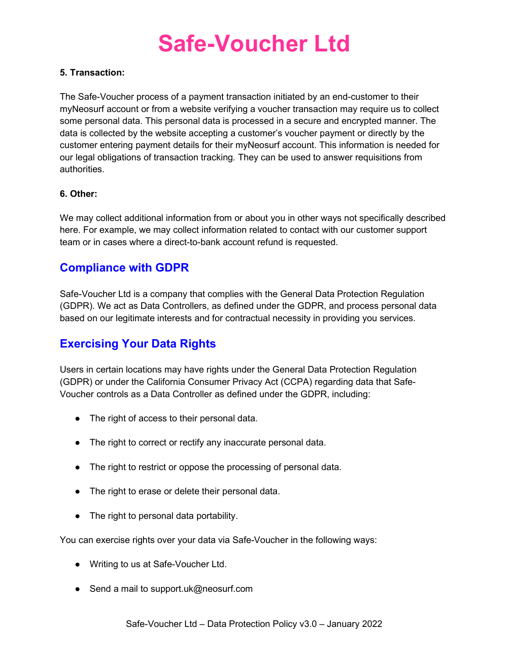#### 5. Transaction:

The Safe-Voucher process of a payment transaction initiated by an end-customer to their myNeosurf account or from a website verifying a voucher transaction may require us to collect some personal data. This personal data is processed in a secure and encrypted manner. The data is collected by the website accepting a customer's voucher payment or directly by the customer entering payment details for their myNeosurf account. This information is needed for our legal obligations of transaction tracking. They can be used to answer requisitions from authorities.

#### 6. Other:

We may collect additional information from or about you in other ways not specifically described here. For example, we may collect information related to contact with our customer support team or in cases where a direct-to-bank account refund is requested.

### Compliance with GDPR

Safe-Voucher Ltd is a company that complies with the General Data Protection Regulation (GDPR). We act as Data Controllers, as defined under the GDPR, and process personal data based on our legitimate interests and for contractual necessity in providing you services.

## Exercising Your Data Rights

Users in certain locations may have rights under the General Data Protection Regulation (GDPR) or under the California Consumer Privacy Act (CCPA) regarding data that Safe-Voucher controls as a Data Controller as defined under the GDPR, including:

- The right of access to their personal data.
- The right to correct or rectify any inaccurate personal data.
- The right to restrict or oppose the processing of personal data.
- The right to erase or delete their personal data.
- The right to personal data portability.

You can exercise rights over your data via Safe-Voucher in the following ways:

- Writing to us at Safe-Voucher Ltd.
- Send a mail to support.uk@neosurf.com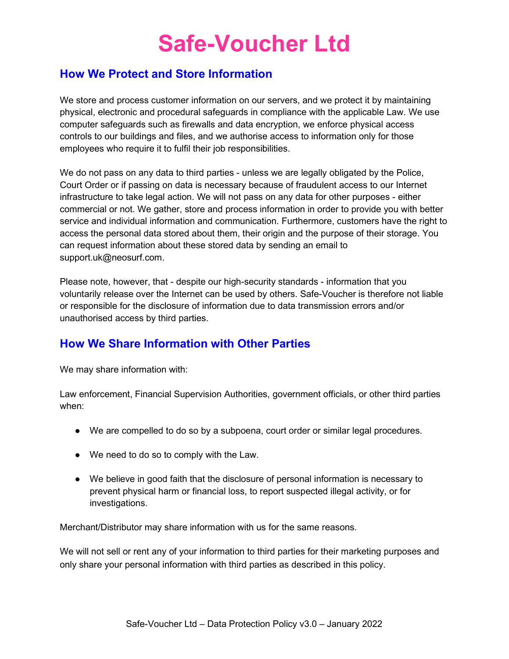### How We Protect and Store Information

We store and process customer information on our servers, and we protect it by maintaining physical, electronic and procedural safeguards in compliance with the applicable Law. We use computer safeguards such as firewalls and data encryption, we enforce physical access controls to our buildings and files, and we authorise access to information only for those employees who require it to fulfil their job responsibilities.

We do not pass on any data to third parties - unless we are legally obligated by the Police, Court Order or if passing on data is necessary because of fraudulent access to our Internet infrastructure to take legal action. We will not pass on any data for other purposes - either commercial or not. We gather, store and process information in order to provide you with better service and individual information and communication. Furthermore, customers have the right to access the personal data stored about them, their origin and the purpose of their storage. You can request information about these stored data by sending an email to support.uk@neosurf.com.

Please note, however, that - despite our high-security standards - information that you voluntarily release over the Internet can be used by others. Safe-Voucher is therefore not liable or responsible for the disclosure of information due to data transmission errors and/or unauthorised access by third parties.

### How We Share Information with Other Parties

We may share information with:

Law enforcement, Financial Supervision Authorities, government officials, or other third parties when:

- We are compelled to do so by a subpoena, court order or similar legal procedures.
- We need to do so to comply with the Law.
- We believe in good faith that the disclosure of personal information is necessary to prevent physical harm or financial loss, to report suspected illegal activity, or for investigations.

Merchant/Distributor may share information with us for the same reasons.

We will not sell or rent any of your information to third parties for their marketing purposes and only share your personal information with third parties as described in this policy.